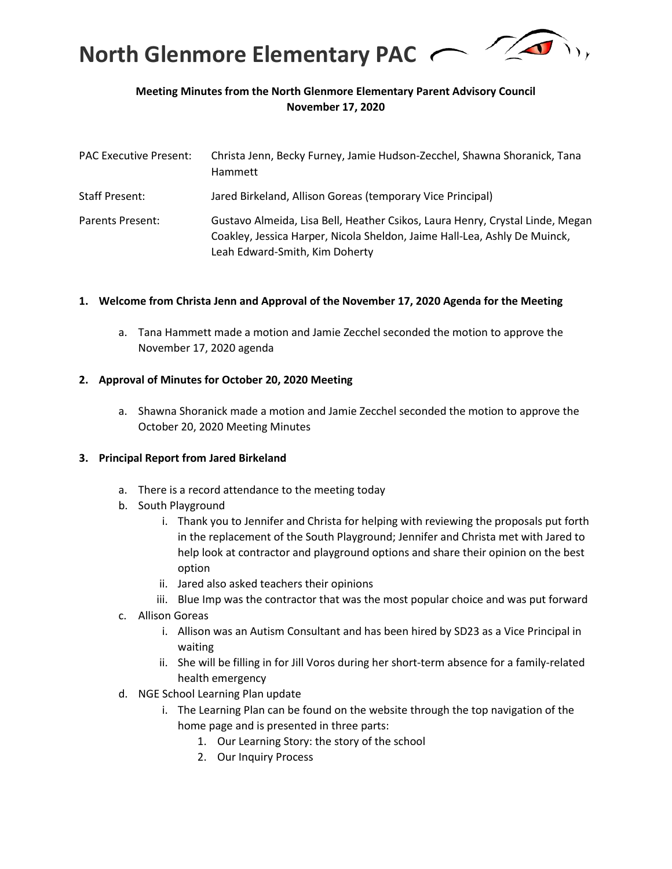

# **Meeting Minutes from the North Glenmore Elementary Parent Advisory Council November 17, 2020**

| <b>PAC Executive Present:</b> | Christa Jenn, Becky Furney, Jamie Hudson-Zecchel, Shawna Shoranick, Tana<br>Hammett                                                                                                          |
|-------------------------------|----------------------------------------------------------------------------------------------------------------------------------------------------------------------------------------------|
| <b>Staff Present:</b>         | Jared Birkeland, Allison Goreas (temporary Vice Principal)                                                                                                                                   |
| Parents Present:              | Gustavo Almeida, Lisa Bell, Heather Csikos, Laura Henry, Crystal Linde, Megan<br>Coakley, Jessica Harper, Nicola Sheldon, Jaime Hall-Lea, Ashly De Muinck,<br>Leah Edward-Smith, Kim Doherty |

#### **1. Welcome from Christa Jenn and Approval of the November 17, 2020 Agenda for the Meeting**

a. Tana Hammett made a motion and Jamie Zecchel seconded the motion to approve the November 17, 2020 agenda

#### **2. Approval of Minutes for October 20, 2020 Meeting**

a. Shawna Shoranick made a motion and Jamie Zecchel seconded the motion to approve the October 20, 2020 Meeting Minutes

#### **3. Principal Report from Jared Birkeland**

- a. There is a record attendance to the meeting today
- b. South Playground
	- i. Thank you to Jennifer and Christa for helping with reviewing the proposals put forth in the replacement of the South Playground; Jennifer and Christa met with Jared to help look at contractor and playground options and share their opinion on the best option
	- ii. Jared also asked teachers their opinions
	- iii. Blue Imp was the contractor that was the most popular choice and was put forward
- c. Allison Goreas
	- i. Allison was an Autism Consultant and has been hired by SD23 as a Vice Principal in waiting
	- ii. She will be filling in for Jill Voros during her short-term absence for a family-related health emergency
- d. NGE School Learning Plan update
	- i. The Learning Plan can be found on the website through the top navigation of the home page and is presented in three parts:
		- 1. Our Learning Story: the story of the school
		- 2. Our Inquiry Process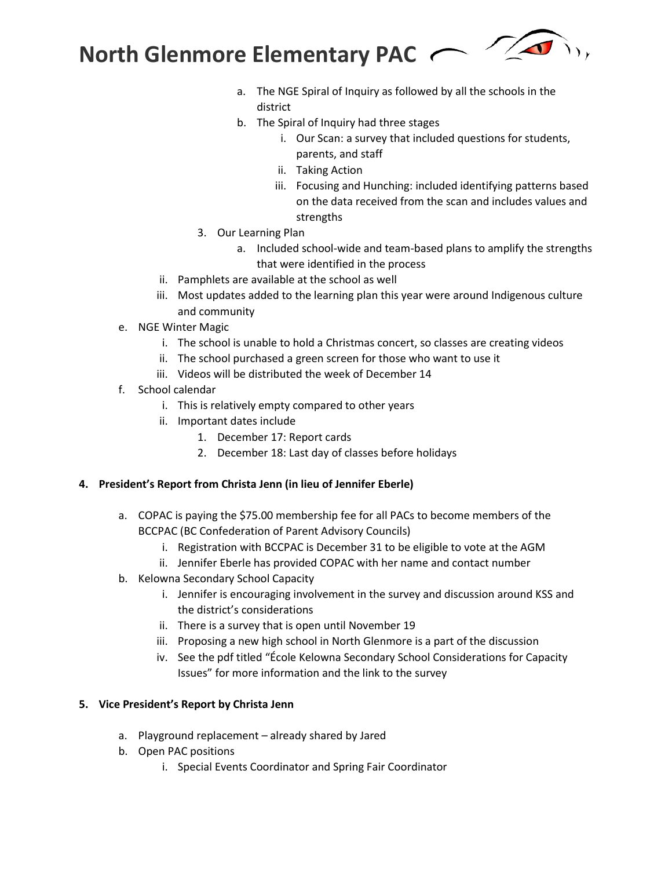$\sqrt{2}$ **North Glenmore Elementary PAC**

- a. The NGE Spiral of Inquiry as followed by all the schools in the district
- b. The Spiral of Inquiry had three stages
	- i. Our Scan: a survey that included questions for students, parents, and staff
	- ii. Taking Action
	- iii. Focusing and Hunching: included identifying patterns based on the data received from the scan and includes values and strengths
- 3. Our Learning Plan
	- a. Included school-wide and team-based plans to amplify the strengths that were identified in the process
- ii. Pamphlets are available at the school as well
- iii. Most updates added to the learning plan this year were around Indigenous culture and community
- e. NGE Winter Magic
	- i. The school is unable to hold a Christmas concert, so classes are creating videos
	- ii. The school purchased a green screen for those who want to use it
	- iii. Videos will be distributed the week of December 14
- f. School calendar
	- i. This is relatively empty compared to other years
	- ii. Important dates include
		- 1. December 17: Report cards
		- 2. December 18: Last day of classes before holidays

# **4. President's Report from Christa Jenn (in lieu of Jennifer Eberle)**

- a. COPAC is paying the \$75.00 membership fee for all PACs to become members of the BCCPAC (BC Confederation of Parent Advisory Councils)
	- i. Registration with BCCPAC is December 31 to be eligible to vote at the AGM
	- ii. Jennifer Eberle has provided COPAC with her name and contact number
- b. Kelowna Secondary School Capacity
	- i. Jennifer is encouraging involvement in the survey and discussion around KSS and the district's considerations
	- ii. There is a survey that is open until November 19
	- iii. Proposing a new high school in North Glenmore is a part of the discussion
	- iv. See the pdf titled "École Kelowna Secondary School Considerations for Capacity Issues" for more information and the link to the survey

# **5. Vice President's Report by Christa Jenn**

- a. Playground replacement already shared by Jared
- b. Open PAC positions
	- i. Special Events Coordinator and Spring Fair Coordinator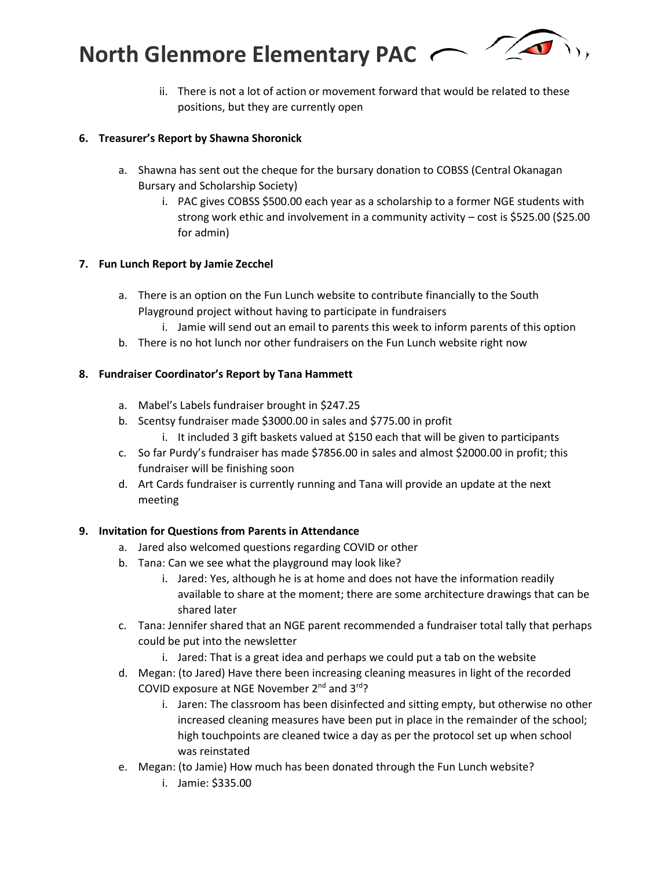**North Glenmore Elementary PAC**



ii. There is not a lot of action or movement forward that would be related to these positions, but they are currently open

# **6. Treasurer's Report by Shawna Shoronick**

- a. Shawna has sent out the cheque for the bursary donation to COBSS (Central Okanagan Bursary and Scholarship Society)
	- i. PAC gives COBSS \$500.00 each year as a scholarship to a former NGE students with strong work ethic and involvement in a community activity – cost is \$525.00 (\$25.00 for admin)

#### **7. Fun Lunch Report by Jamie Zecchel**

- a. There is an option on the Fun Lunch website to contribute financially to the South Playground project without having to participate in fundraisers
	- i. Jamie will send out an email to parents this week to inform parents of this option
- b. There is no hot lunch nor other fundraisers on the Fun Lunch website right now

# **8. Fundraiser Coordinator's Report by Tana Hammett**

- a. Mabel's Labels fundraiser brought in \$247.25
- b. Scentsy fundraiser made \$3000.00 in sales and \$775.00 in profit
	- i. It included 3 gift baskets valued at \$150 each that will be given to participants
- c. So far Purdy's fundraiser has made \$7856.00 in sales and almost \$2000.00 in profit; this fundraiser will be finishing soon
- d. Art Cards fundraiser is currently running and Tana will provide an update at the next meeting

# **9. Invitation for Questions from Parents in Attendance**

- a. Jared also welcomed questions regarding COVID or other
- b. Tana: Can we see what the playground may look like?
	- i. Jared: Yes, although he is at home and does not have the information readily available to share at the moment; there are some architecture drawings that can be shared later
- c. Tana: Jennifer shared that an NGE parent recommended a fundraiser total tally that perhaps could be put into the newsletter
	- i. Jared: That is a great idea and perhaps we could put a tab on the website
- d. Megan: (to Jared) Have there been increasing cleaning measures in light of the recorded COVID exposure at NGE November 2nd and 3rd?
	- i. Jaren: The classroom has been disinfected and sitting empty, but otherwise no other increased cleaning measures have been put in place in the remainder of the school; high touchpoints are cleaned twice a day as per the protocol set up when school was reinstated
- e. Megan: (to Jamie) How much has been donated through the Fun Lunch website?
	- i. Jamie: \$335.00